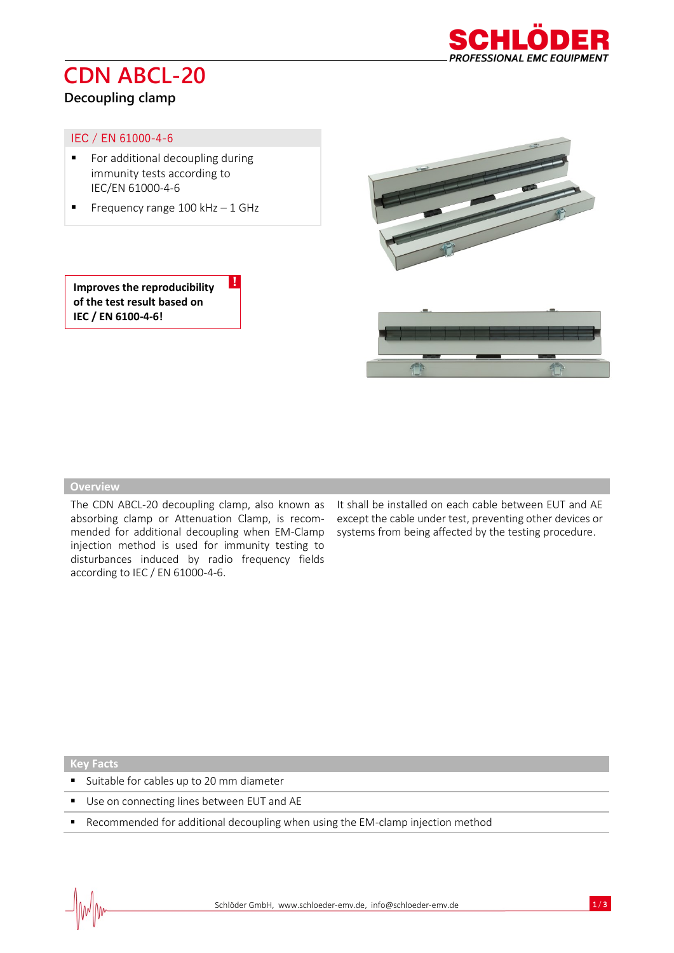# **CDN ABCL-20**



## **Decoupling clamp**

### IEC / EN 61000-4-6

- For additional decoupling during immunity tests according to IEC/EN 61000-4-6
- **•** Frequency range  $100$  kHz  $-1$  GHz

!



**Improves the reproducibility of the test result based on IEC / EN 6100-4-6!**



#### **Overview**

absorbing clamp or Attenuation Clamp, is recommended for additional decoupling when EM-Clamp injection method is used for immunity testing to disturbances induced by radio frequency fields according to IEC / EN 61000-4-6.

The CDN ABCL-20 decoupling clamp, also known as It shall be installed on each cable between EUT and AE except the cable under test, preventing other devices or systems from being affected by the testing procedure.

**Key Facts**

- Suitable for cables up to 20 mm diameter
- Use on connecting lines between EUT and AE
- Recommended for additional decoupling when using the EM-clamp injection method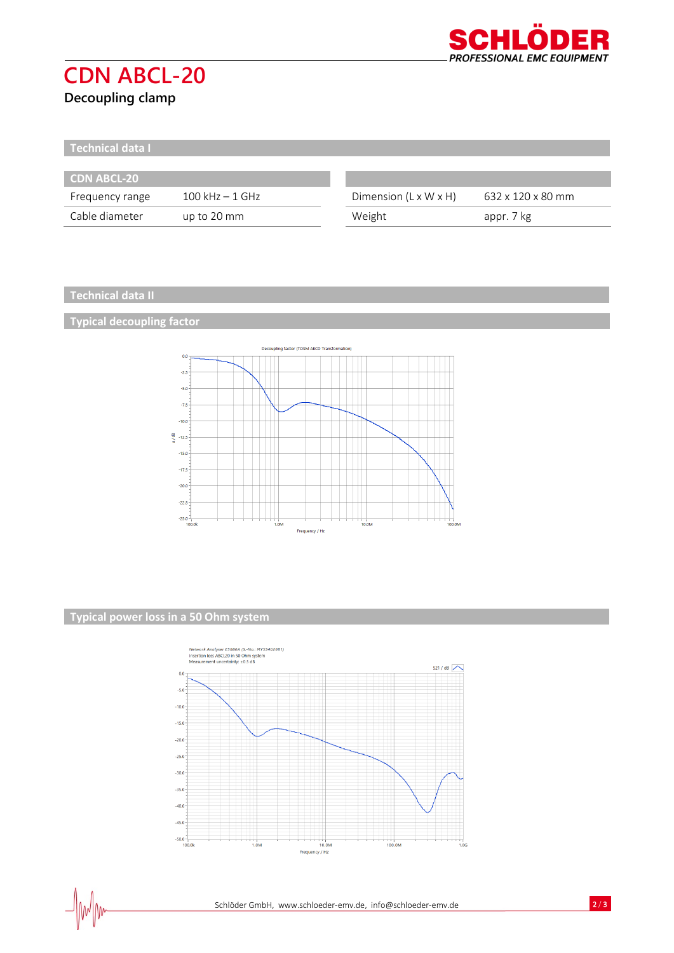

# **CDN ABCL-20**

# **Decoupling clamp**

**Technical data I**

| <b>CDN ABCL-20</b> |                    |                                   |                   |
|--------------------|--------------------|-----------------------------------|-------------------|
| Frequency range    | $100$ kHz $-1$ GHz | Dimension $(L \times W \times H)$ | 632 x 120 x 80 mm |
| Cable diameter     | up to 20 mm        | Weight                            | appr. 7 kg        |

### **Technical data II**

## **Typical decoupling factor**



### **Typical power loss in a 50 Ohm system**

 $\mathcal{N}$